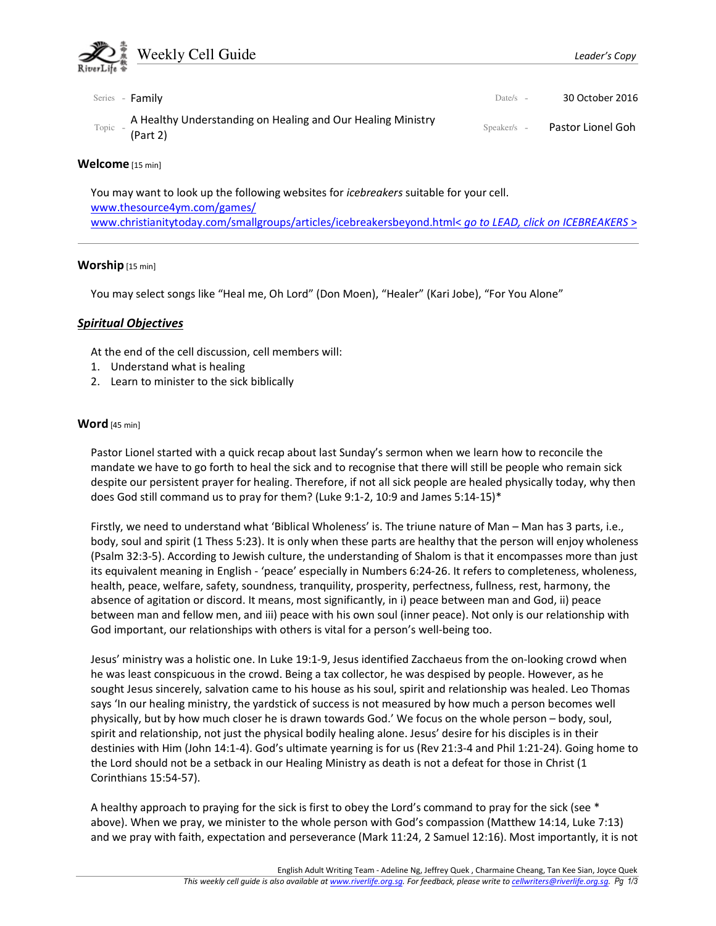

You may want to look up the following websites for icebreakers suitable for your cell. www.thesource4ym.com/games/ www.christianitytoday.com/smallgroups/articles/icebreakersbeyond.html< go to LEAD, click on ICEBREAKERS >

# Worship [15 min]

You may select songs like "Heal me, Oh Lord" (Don Moen), "Healer" (Kari Jobe), "For You Alone"

### Spiritual Objectives

At the end of the cell discussion, cell members will:

- 1. Understand what is healing
- 2. Learn to minister to the sick biblically

### Word [45 min]

Pastor Lionel started with a quick recap about last Sunday's sermon when we learn how to reconcile the mandate we have to go forth to heal the sick and to recognise that there will still be people who remain sick despite our persistent prayer for healing. Therefore, if not all sick people are healed physically today, why then does God still command us to pray for them? (Luke 9:1-2, 10:9 and James 5:14-15)\*

Firstly, we need to understand what 'Biblical Wholeness' is. The triune nature of Man – Man has 3 parts, i.e., body, soul and spirit (1 Thess 5:23). It is only when these parts are healthy that the person will enjoy wholeness (Psalm 32:3-5). According to Jewish culture, the understanding of Shalom is that it encompasses more than just its equivalent meaning in English - 'peace' especially in Numbers 6:24-26. It refers to completeness, wholeness, health, peace, welfare, safety, soundness, tranquility, prosperity, perfectness, fullness, rest, harmony, the absence of agitation or discord. It means, most significantly, in i) peace between man and God, ii) peace between man and fellow men, and iii) peace with his own soul (inner peace). Not only is our relationship with God important, our relationships with others is vital for a person's well-being too.

Jesus' ministry was a holistic one. In Luke 19:1-9, Jesus identified Zacchaeus from the on-looking crowd when he was least conspicuous in the crowd. Being a tax collector, he was despised by people. However, as he sought Jesus sincerely, salvation came to his house as his soul, spirit and relationship was healed. Leo Thomas says 'In our healing ministry, the yardstick of success is not measured by how much a person becomes well physically, but by how much closer he is drawn towards God.' We focus on the whole person – body, soul, spirit and relationship, not just the physical bodily healing alone. Jesus' desire for his disciples is in their destinies with Him (John 14:1-4). God's ultimate yearning is for us (Rev 21:3-4 and Phil 1:21-24). Going home to the Lord should not be a setback in our Healing Ministry as death is not a defeat for those in Christ (1 Corinthians 15:54-57).

A healthy approach to praying for the sick is first to obey the Lord's command to pray for the sick (see \* above). When we pray, we minister to the whole person with God's compassion (Matthew 14:14, Luke 7:13) and we pray with faith, expectation and perseverance (Mark 11:24, 2 Samuel 12:16). Most importantly, it is not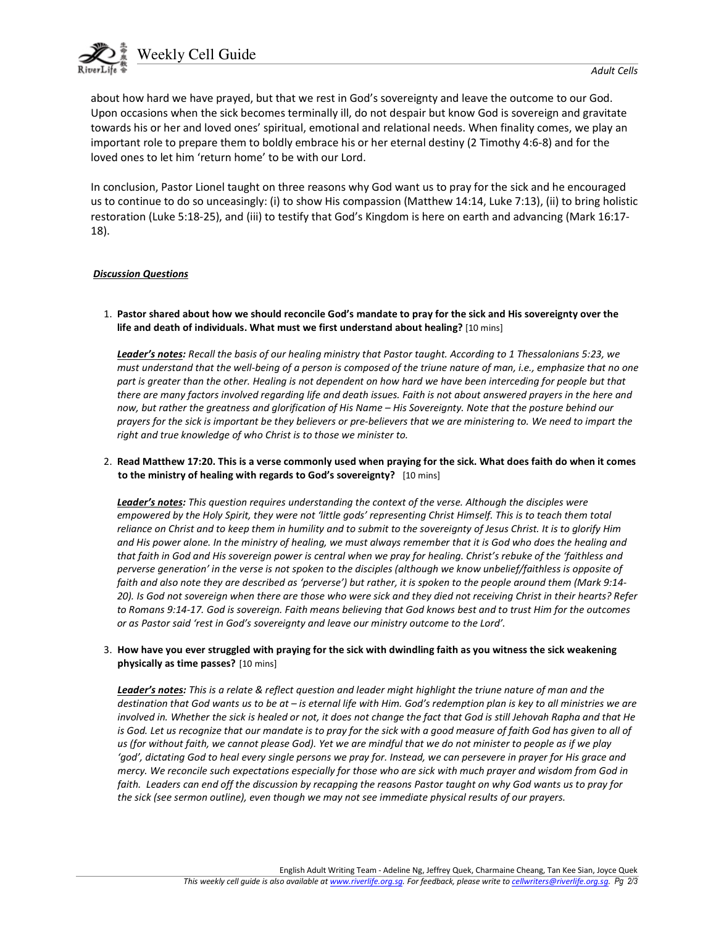

about how hard we have prayed, but that we rest in God's sovereignty and leave the outcome to our God. Upon occasions when the sick becomes terminally ill, do not despair but know God is sovereign and gravitate towards his or her and loved ones' spiritual, emotional and relational needs. When finality comes, we play an important role to prepare them to boldly embrace his or her eternal destiny (2 Timothy 4:6-8) and for the loved ones to let him 'return home' to be with our Lord.

In conclusion, Pastor Lionel taught on three reasons why God want us to pray for the sick and he encouraged us to continue to do so unceasingly: (i) to show His compassion (Matthew 14:14, Luke 7:13), (ii) to bring holistic restoration (Luke 5:18-25), and (iii) to testify that God's Kingdom is here on earth and advancing (Mark 16:17- 18).

#### Discussion Questions

1. Pastor shared about how we should reconcile God's mandate to pray for the sick and His sovereignty over the life and death of individuals. What must we first understand about healing? [10 mins]

Leader's notes: Recall the basis of our healing ministry that Pastor taught. According to 1 Thessalonians 5:23, we must understand that the well-being of a person is composed of the triune nature of man, i.e., emphasize that no one part is greater than the other. Healing is not dependent on how hard we have been interceding for people but that there are many factors involved regarding life and death issues. Faith is not about answered prayers in the here and now, but rather the greatness and glorification of His Name – His Sovereignty. Note that the posture behind our prayers for the sick is important be they believers or pre-believers that we are ministering to. We need to impart the right and true knowledge of who Christ is to those we minister to.

2. Read Matthew 17:20. This is a verse commonly used when praying for the sick. What does faith do when it comes to the ministry of healing with regards to God's sovereignty? [10 mins]

Leader's notes: This question requires understanding the context of the verse. Although the disciples were empowered by the Holy Spirit, they were not 'little gods' representing Christ Himself. This is to teach them total reliance on Christ and to keep them in humility and to submit to the sovereignty of Jesus Christ. It is to glorify Him and His power alone. In the ministry of healing, we must always remember that it is God who does the healing and that faith in God and His sovereign power is central when we pray for healing. Christ's rebuke of the 'faithless and perverse generation' in the verse is not spoken to the disciples (although we know unbelief/faithless is opposite of faith and also note they are described as 'perverse') but rather, it is spoken to the people around them (Mark 9:14- 20). Is God not sovereign when there are those who were sick and they died not receiving Christ in their hearts? Refer to Romans 9:14-17. God is sovereign. Faith means believing that God knows best and to trust Him for the outcomes or as Pastor said 'rest in God's sovereignty and leave our ministry outcome to the Lord'.

#### 3. How have you ever struggled with praying for the sick with dwindling faith as you witness the sick weakening physically as time passes? [10 mins]

Leader's notes: This is a relate & reflect question and leader might highlight the triune nature of man and the destination that God wants us to be at – is eternal life with Him. God's redemption plan is key to all ministries we are involved in. Whether the sick is healed or not, it does not change the fact that God is still Jehovah Rapha and that He is God. Let us recognize that our mandate is to pray for the sick with a good measure of faith God has given to all of us (for without faith, we cannot please God). Yet we are mindful that we do not minister to people as if we play 'god', dictating God to heal every single persons we pray for. Instead, we can persevere in prayer for His grace and mercy. We reconcile such expectations especially for those who are sick with much prayer and wisdom from God in faith. Leaders can end off the discussion by recapping the reasons Pastor taught on why God wants us to pray for the sick (see sermon outline), even though we may not see immediate physical results of our prayers.